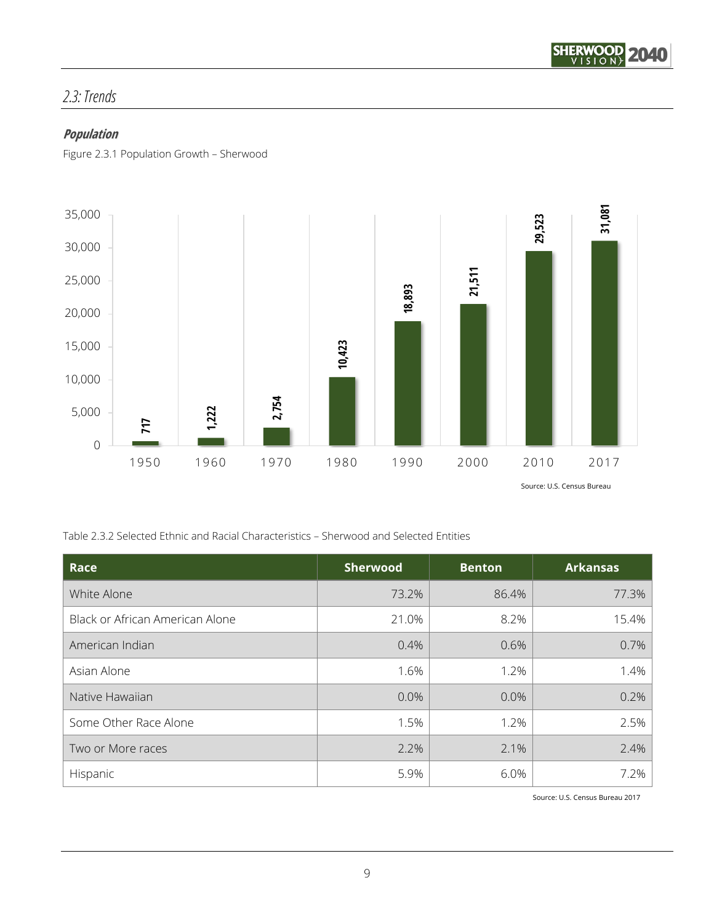

# *2.3: Trends*

## **Population**

Figure 2.3.1 Population Growth – Sherwood



Table 2.3.2 Selected Ethnic and Racial Characteristics – Sherwood and Selected Entities

| Race                            | <b>Sherwood</b> | <b>Benton</b> | <b>Arkansas</b> |
|---------------------------------|-----------------|---------------|-----------------|
| White Alone                     | 73.2%           | 86.4%         | 77.3%           |
| Black or African American Alone | 21.0%           | 8.2%          | 15.4%           |
| American Indian                 | 0.4%            | 0.6%          | 0.7%            |
| Asian Alone                     | 1.6%            | 1.2%          | 1.4%            |
| Native Hawaiian                 | 0.0%            | 0.0%          | 0.2%            |
| Some Other Race Alone           | 1.5%            | 1.2%          | 2.5%            |
| Two or More races               | 2.2%            | 2.1%          | 2.4%            |
| Hispanic                        | 5.9%            | 6.0%          | 7.2%            |

Source: U.S. Census Bureau 2017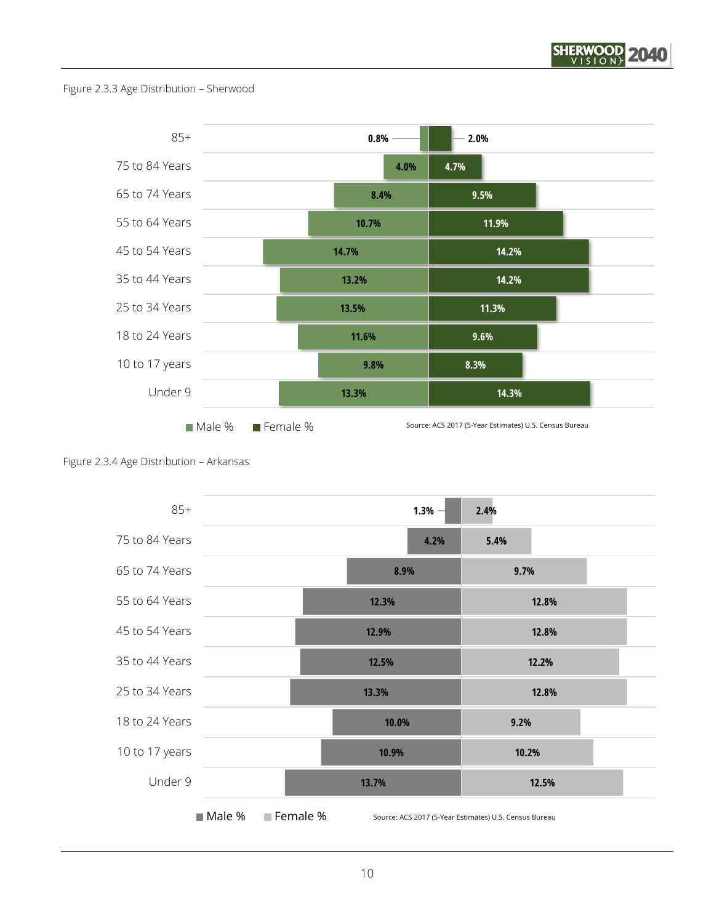

Figure 2.3.3 Age Distribution – Sherwood





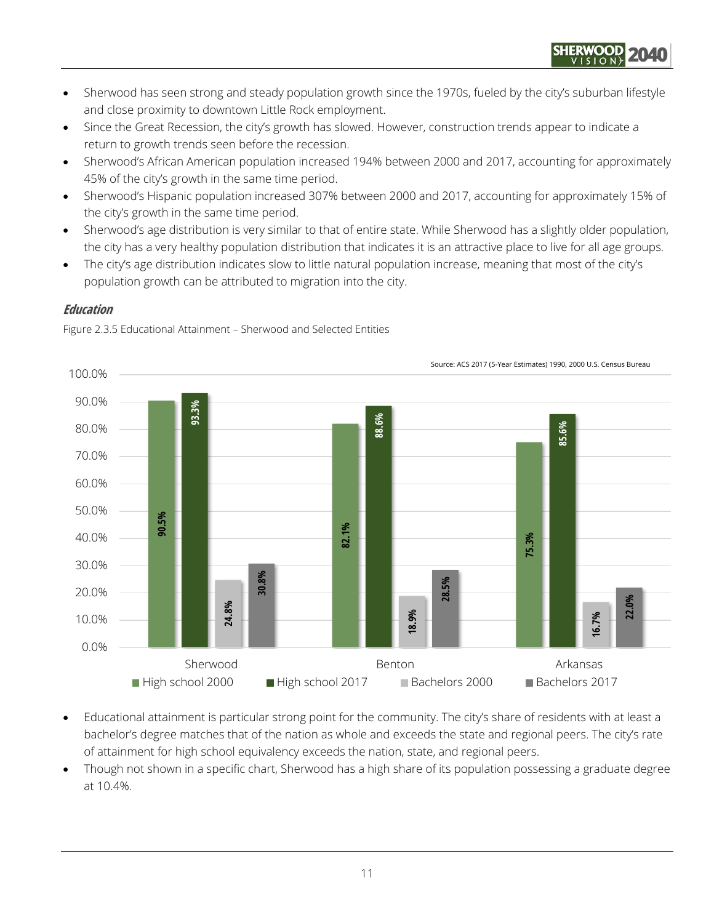

- Sherwood has seen strong and steady population growth since the 1970s, fueled by the city's suburban lifestyle and close proximity to downtown Little Rock employment.
- Since the Great Recession, the city's growth has slowed. However, construction trends appear to indicate a return to growth trends seen before the recession.
- Sherwood's African American population increased 194% between 2000 and 2017, accounting for approximately 45% of the city's growth in the same time period.
- Sherwood's Hispanic population increased 307% between 2000 and 2017, accounting for approximately 15% of the city's growth in the same time period.
- Sherwood's age distribution is very similar to that of entire state. While Sherwood has a slightly older population, the city has a very healthy population distribution that indicates it is an attractive place to live for all age groups.
- The city's age distribution indicates slow to little natural population increase, meaning that most of the city's population growth can be attributed to migration into the city.

### **Education**



Figure 2.3.5 Educational Attainment – Sherwood and Selected Entities

- Educational attainment is particular strong point for the community. The city's share of residents with at least a bachelor's degree matches that of the nation as whole and exceeds the state and regional peers. The city's rate of attainment for high school equivalency exceeds the nation, state, and regional peers.
- Though not shown in a specific chart, Sherwood has a high share of its population possessing a graduate degree at 10.4%.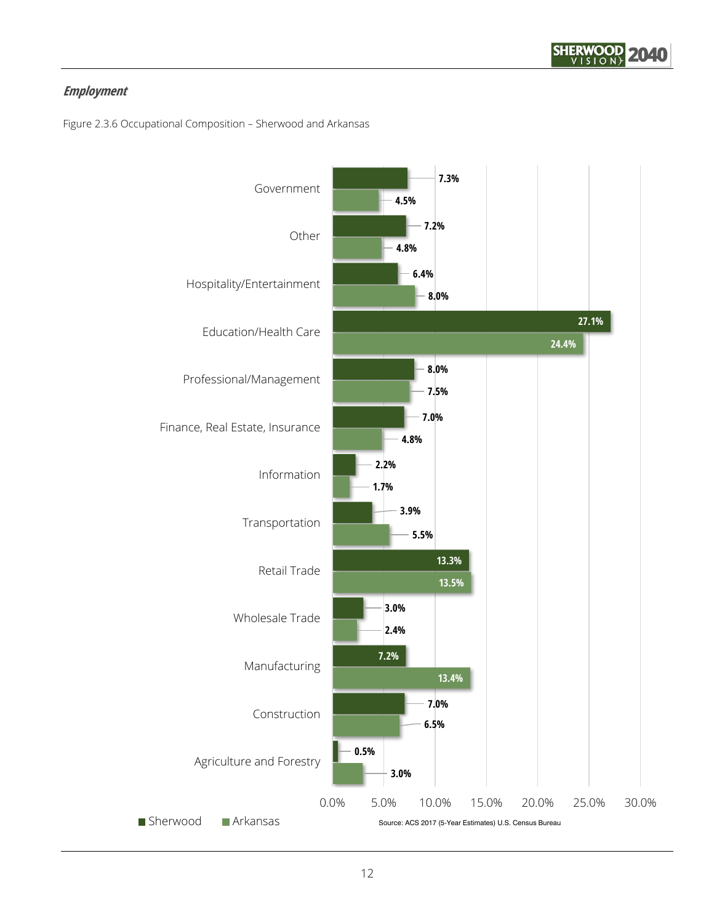

# **Employment**

Figure 2.3.6 Occupational Composition – Sherwood and Arkansas

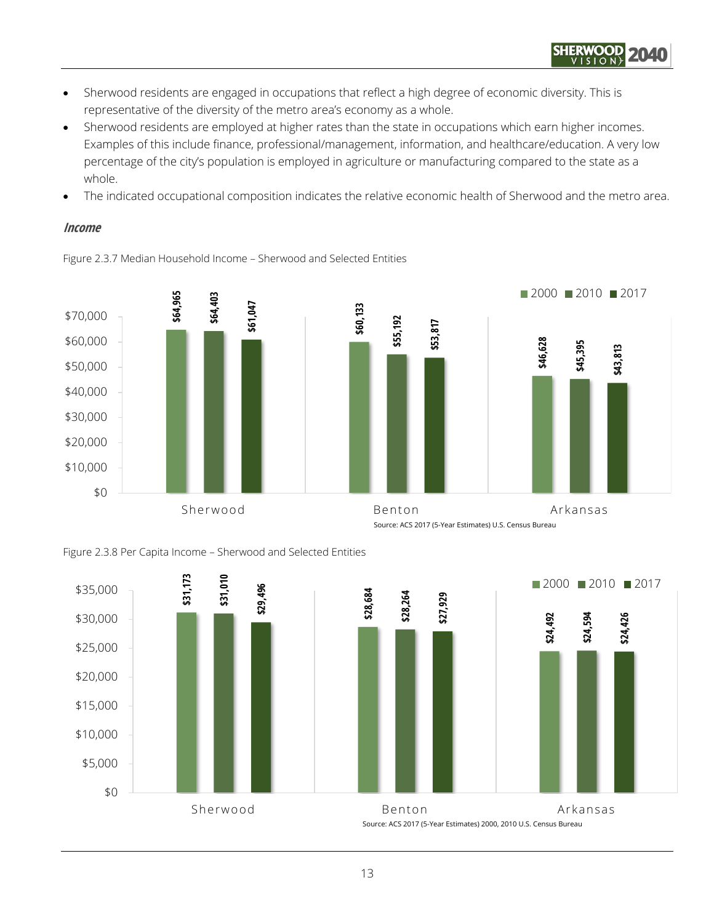

- Sherwood residents are engaged in occupations that reflect a high degree of economic diversity. This is representative of the diversity of the metro area's economy as a whole.
- Sherwood residents are employed at higher rates than the state in occupations which earn higher incomes. Examples of this include finance, professional/management, information, and healthcare/education. A very low percentage of the city's population is employed in agriculture or manufacturing compared to the state as a whole.
- The indicated occupational composition indicates the relative economic health of Sherwood and the metro area.

#### **Income**





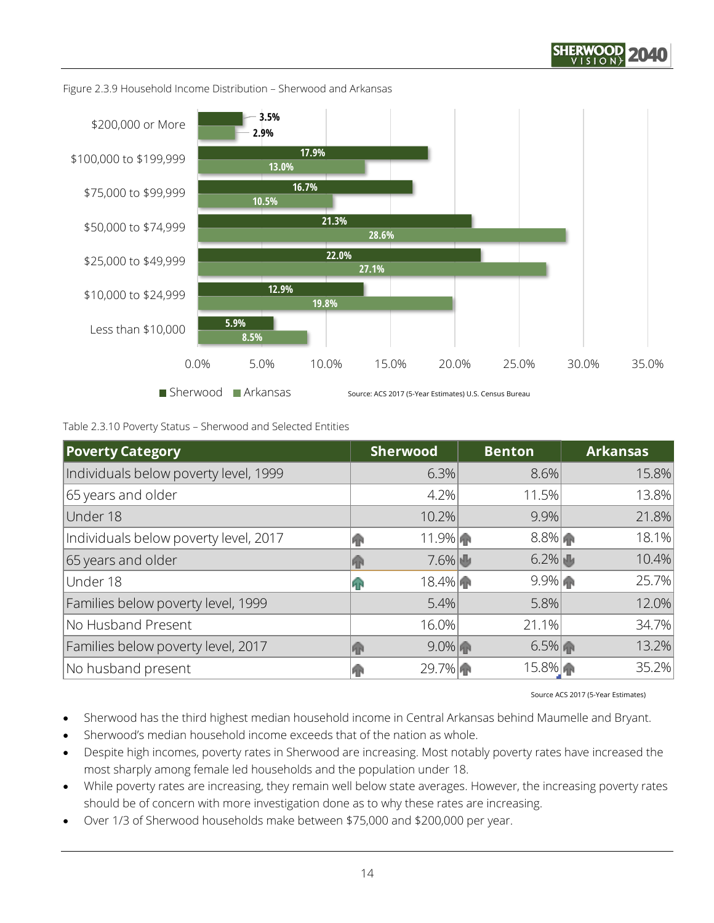



Figure 2.3.9 Household Income Distribution – Sherwood and Arkansas

Table 2.3.10 Poverty Status – Sherwood and Selected Entities

| <b>Poverty Category</b>               | Sherwood       | <b>Benton</b> | <b>Arkansas</b> |
|---------------------------------------|----------------|---------------|-----------------|
| Individuals below poverty level, 1999 | 6.3%           | 8.6%          | 15.8%           |
| 65 years and older                    | 4.2%           | 11.5%         | 13.8%           |
| Under 18                              | 10.2%          | 9.9%          | 21.8%           |
| Individuals below poverty level, 2017 | $11.9\%$<br>RН | $8.8\%$       | 18.1%           |
| 65 years and older                    | $7.6\%$<br>ЯR  | $6.2\%$       | 10.4%           |
| Under 18                              | 18.4%<br>qр    | $9.9\%$       | 25.7%           |
| Families below poverty level, 1999    | 5.4%           | $5.8\%$       | 12.0%           |
| No Husband Present                    | 16.0%          | 21.1%         | 34.7%           |
| Families below poverty level, 2017    | $9.0\%$<br>ЙΒ  | $6.5\%$       | 13.2%           |
| No husband present                    | 29.7%          | 15.8%         | 35.2%           |

Source ACS 2017 (5-Year Estimates)

Sherwood has the third highest median household income in Central Arkansas behind Maumelle and Bryant.

- Sherwood's median household income exceeds that of the nation as whole.
- Despite high incomes, poverty rates in Sherwood are increasing. Most notably poverty rates have increased the most sharply among female led households and the population under 18.
- While poverty rates are increasing, they remain well below state averages. However, the increasing poverty rates should be of concern with more investigation done as to why these rates are increasing.
- Over 1/3 of Sherwood households make between \$75,000 and \$200,000 per year.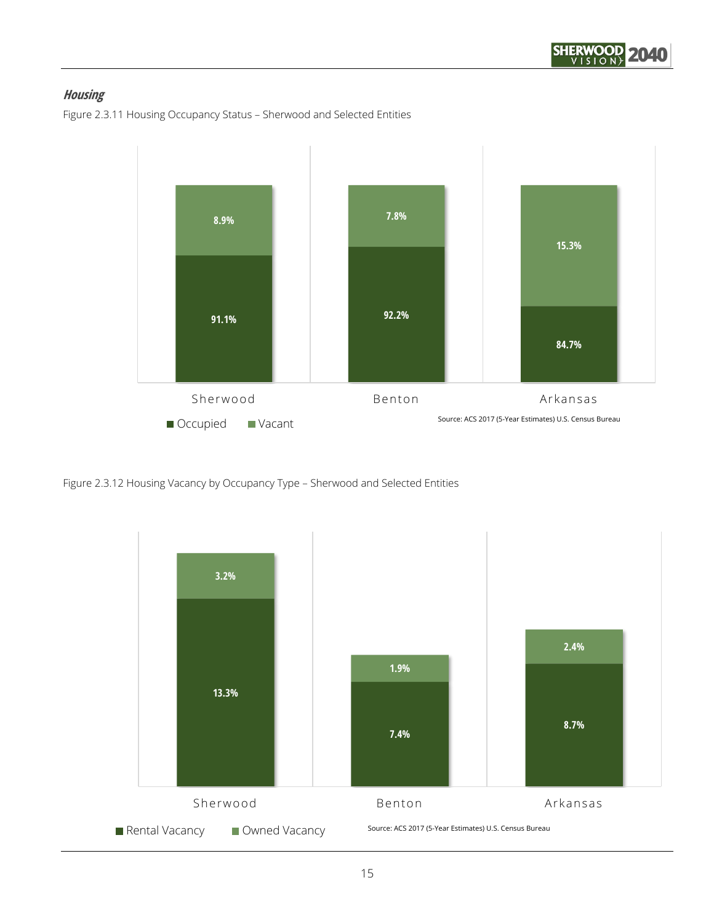

# **Housing**

Figure 2.3.11 Housing Occupancy Status – Sherwood and Selected Entities



Figure 2.3.12 Housing Vacancy by Occupancy Type – Sherwood and Selected Entities

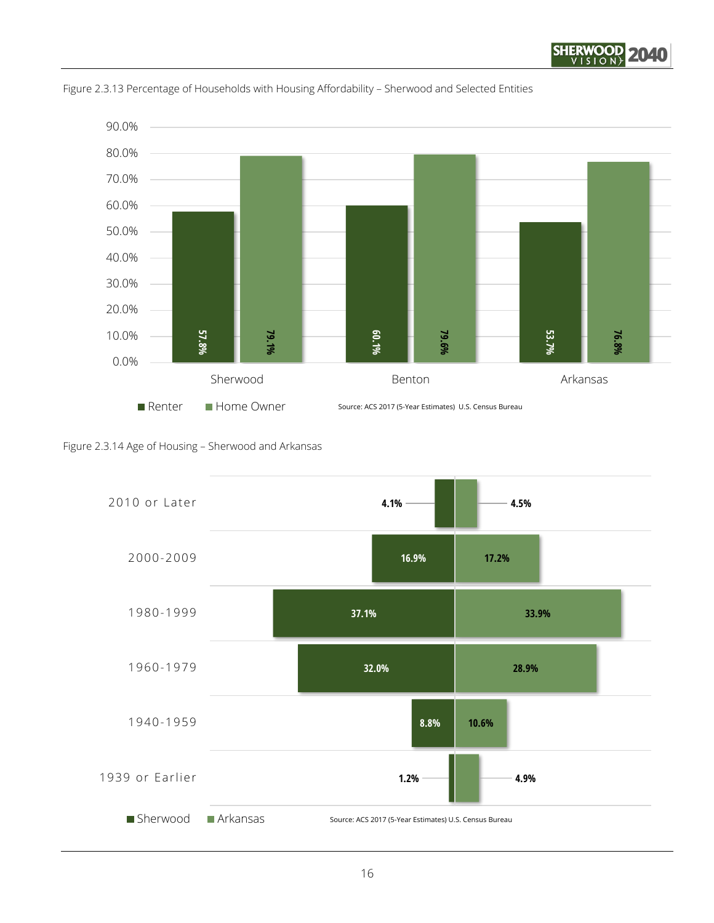





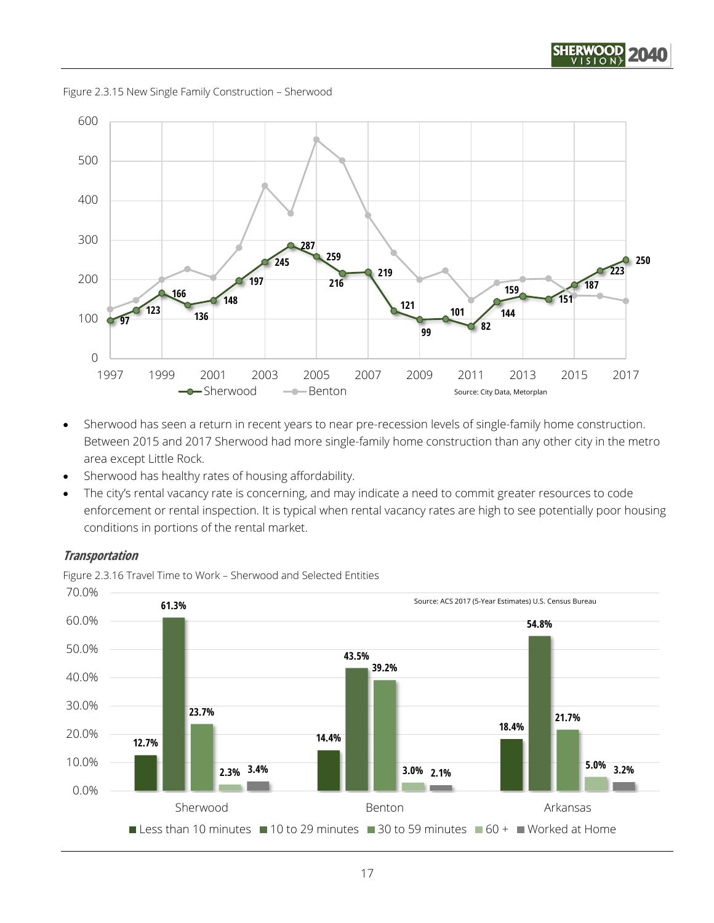





- Sherwood has seen a return in recent years to near pre-recession levels of single-family home construction. Between 2015 and 2017 Sherwood had more single-family home construction than any other city in the metro area except Little Rock.
- Sherwood has healthy rates of housing affordability.
- The city's rental vacancy rate is concerning, and may indicate a need to commit greater resources to code enforcement or rental inspection. It is typical when rental vacancy rates are high to see potentially poor housing conditions in portions of the rental market.

#### **Transportation**

Figure 2.3.16 Travel Time to Work – Sherwood and Selected Entities

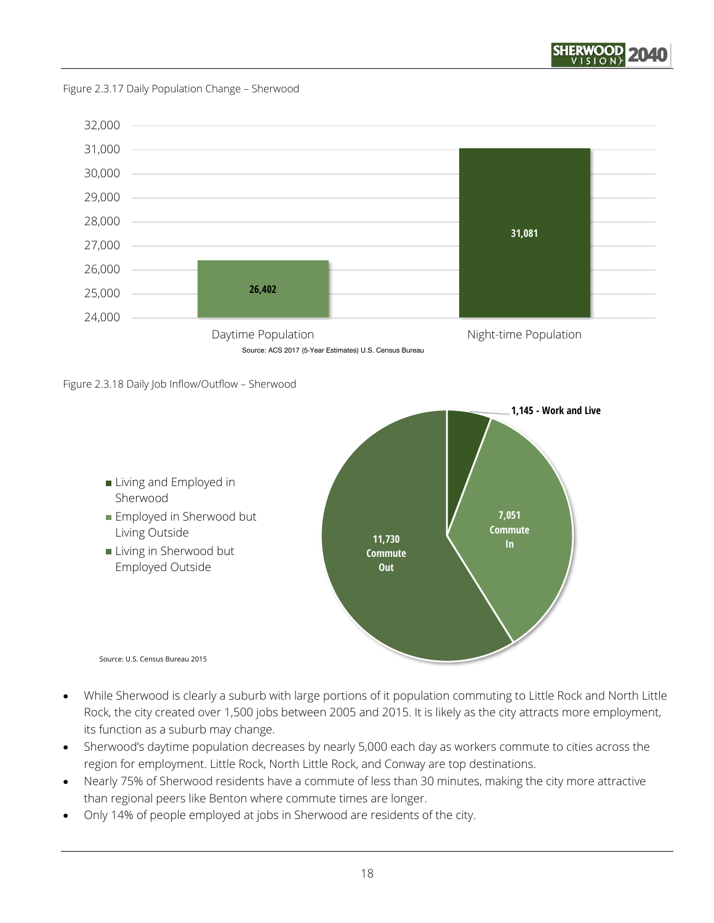

Figure 2.3.17 Daily Population Change – Sherwood







- While Sherwood is clearly a suburb with large portions of it population commuting to Little Rock and North Little Rock, the city created over 1,500 jobs between 2005 and 2015. It is likely as the city attracts more employment, its function as a suburb may change.
- Sherwood's daytime population decreases by nearly 5,000 each day as workers commute to cities across the region for employment. Little Rock, North Little Rock, and Conway are top destinations.
- Nearly 75% of Sherwood residents have a commute of less than 30 minutes, making the city more attractive than regional peers like Benton where commute times are longer.
- Only 14% of people employed at jobs in Sherwood are residents of the city.